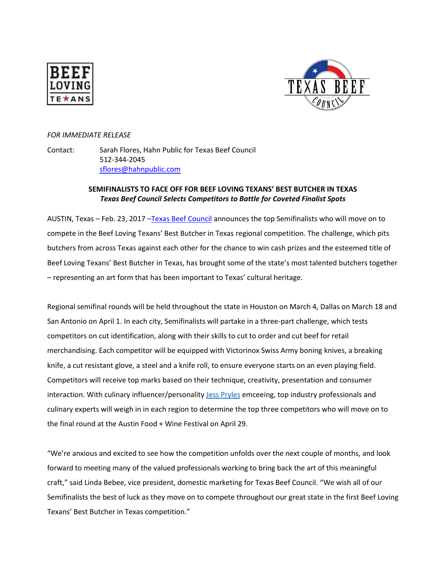



# *FOR IMMEDIATE RELEASE*

Contact: Sarah Flores, Hahn Public for Texas Beef Council 512-344-2045 [sflores@hahnpublic.com](mailto:sflores@hahnpublic.com)

# **SEMIFINALISTS TO FACE OFF FOR BEEF LOVING TEXANS' BEST BUTCHER IN TEXAS** *Texas Beef Council Selects Competitors to Battle for Coveted Finalist Spots*

AUSTIN, Texas – Feb. 23, 2017 –[Texas Beef Council](http://www.beeflovingtexans.com/) announces the top Semifinalists who will move on to compete in the Beef Loving Texans' Best Butcher in Texas regional competition. The challenge, which pits butchers from across Texas against each other for the chance to win cash prizes and the esteemed title of Beef Loving Texans' Best Butcher in Texas, has brought some of the state's most talented butchers together – representing an art form that has been important to Texas' cultural heritage.

Regional semifinal rounds will be held throughout the state in Houston on March 4, Dallas on March 18 and San Antonio on April 1. In each city, Semifinalists will partake in a three-part challenge, which tests competitors on cut identification, along with their skills to cut to order and cut beef for retail merchandising. Each competitor will be equipped with Victorinox Swiss Army boning knives, a breaking knife, a cut resistant glove, a steel and a knife roll, to ensure everyone starts on an even playing field. Competitors will receive top marks based on their technique, creativity, presentation and consumer interaction. With culinary influencer/personality [Jess Pryles](http://jesspryles.com/) emceeing, top industry professionals and culinary experts will weigh in in each region to determine the top three competitors who will move on to the final round at the Austin Food + Wine Festival on April 29.

"We're anxious and excited to see how the competition unfolds over the next couple of months, and look forward to meeting many of the valued professionals working to bring back the art of this meaningful craft," said Linda Bebee, vice president, domestic marketing for Texas Beef Council. "We wish all of our Semifinalists the best of luck as they move on to compete throughout our great state in the first Beef Loving Texans' Best Butcher in Texas competition."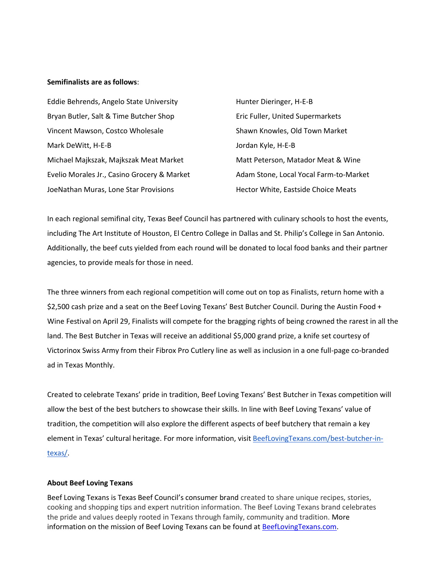# **Semifinalists are as follows**:

| Eddie Behrends, Angelo State University     | Hunter Dieringer, H-E-B                |
|---------------------------------------------|----------------------------------------|
| Bryan Butler, Salt & Time Butcher Shop      | Eric Fuller, United Supermarkets       |
| Vincent Mawson, Costco Wholesale            | Shawn Knowles, Old Town Market         |
| Mark DeWitt, H-E-B                          | Jordan Kyle, H-E-B                     |
| Michael Majkszak, Majkszak Meat Market      | Matt Peterson, Matador Meat & Wine     |
| Evelio Morales Jr., Casino Grocery & Market | Adam Stone, Local Yocal Farm-to-Market |
| JoeNathan Muras, Lone Star Provisions       | Hector White, Eastside Choice Meats    |

In each regional semifinal city, Texas Beef Council has partnered with culinary schools to host the events, including The Art Institute of Houston, El Centro College in Dallas and St. Philip's College in San Antonio. Additionally, the beef cuts yielded from each round will be donated to local food banks and their partner agencies, to provide meals for those in need.

The three winners from each regional competition will come out on top as Finalists, return home with a \$2,500 cash prize and a seat on the Beef Loving Texans' Best Butcher Council. During the Austin Food + Wine Festival on April 29, Finalists will compete for the bragging rights of being crowned the rarest in all the land. The Best Butcher in Texas will receive an additional \$5,000 grand prize, a knife set courtesy of Victorinox Swiss Army from their Fibrox Pro Cutlery line as well as inclusion in a one full-page co-branded ad in Texas Monthly.

Created to celebrate Texans' pride in tradition, Beef Loving Texans' Best Butcher in Texas competition will allow the best of the best butchers to showcase their skills. In line with Beef Loving Texans' value of tradition, the competition will also explore the different aspects of beef butchery that remain a key element in Texas' cultural heritage. For more information, visit [BeefLovingTexans.com/best-butcher-in](http://beeflovingtexans.com/best-butcher-in-texas/)[texas/.](http://beeflovingtexans.com/best-butcher-in-texas/)

#### **About Beef Loving Texans**

Beef Loving Texans is Texas Beef Council's consumer brand created to share unique recipes, stories, cooking and shopping tips and expert nutrition information. The Beef Loving Texans brand celebrates the pride and values deeply rooted in Texans through family, community and tradition. More information on the mission of Beef Loving Texans can be found at [BeefLovingTexans.com.](http://www.beeflovingtexans.com/)